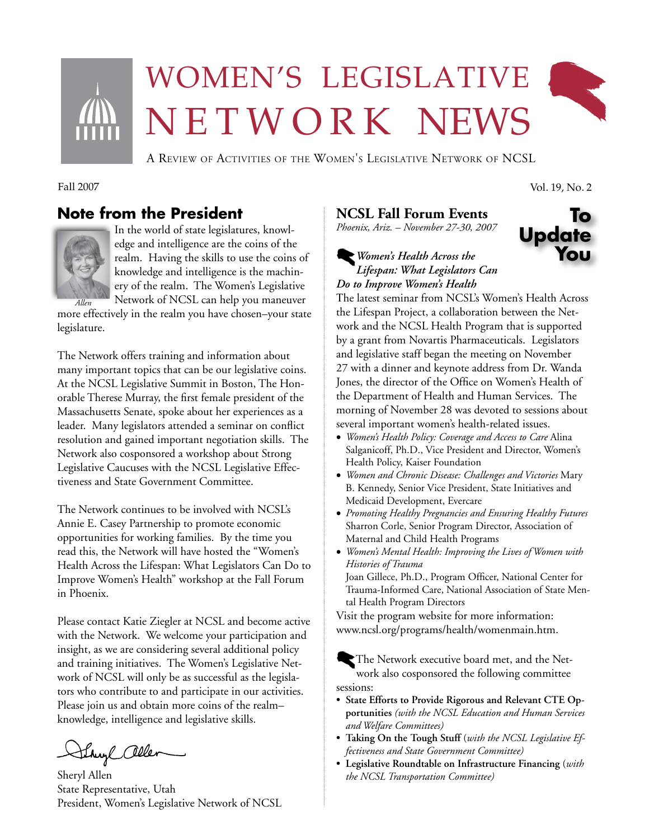

# Women's legislative N E T W O R K NEWS



A Review of Activities of the Women's Legislative Network of NCSL

# **Note from the President**



In the world of state legislatures, knowledge and intelligence are the coins of the realm. Having the skills to use the coins of knowledge and intelligence is the machinery of the realm. The Women's Legislative Network of NCSL can help you maneuver

more effectively in the realm you have chosen–your state legislature.

The Network offers training and information about many important topics that can be our legislative coins. At the NCSL Legislative Summit in Boston, The Honorable Therese Murray, the first female president of the Massachusetts Senate, spoke about her experiences as a leader. Many legislators attended a seminar on conflict resolution and gained important negotiation skills. The Network also cosponsored a workshop about Strong Legislative Caucuses with the NCSL Legislative Effectiveness and State Government Committee.

The Network continues to be involved with NCSL's Annie E. Casey Partnership to promote economic opportunities for working families. By the time you read this, the Network will have hosted the "Women's Health Across the Lifespan: What Legislators Can Do to Improve Women's Health" workshop at the Fall Forum in Phoenix.

Please contact Katie Ziegler at NCSL and become active with the Network. We welcome your participation and insight, as we are considering several additional policy and training initiatives. The Women's Legislative Network of NCSL will only be as successful as the legislators who contribute to and participate in our activities. Please join us and obtain more coins of the realm– knowledge, intelligence and legislative skills.

Shuyl allen

Sheryl Allen State Representative, Utah President, Women's Legislative Network of NCSL

## **NCSL Fall Forum Events**

*Phoenix, Ariz. – November 27-30, 2007*

### **Update** *Women's Health Across the Lifespan: What Legislators Can Do to Improve Women's Health*

The latest seminar from NCSL's Women's Health Across the Lifespan Project, a collaboration between the Network and the NCSL Health Program that is supported by a grant from Novartis Pharmaceuticals. Legislators and legislative staff began the meeting on November 27 with a dinner and keynote address from Dr. Wanda Jones, the director of the Office on Women's Health of the Department of Health and Human Services. The morning of November 28 was devoted to sessions about several important women's health-related issues.

- • *Women's Health Policy: Coverage and Access to Care* Alina Salganicoff, Ph.D., Vice President and Director, Women's Health Policy, Kaiser Foundation
- • *Women and Chronic Disease: Challenges and Victories* Mary B. Kennedy, Senior Vice President, State Initiatives and Medicaid Development, Evercare
- • *Promoting Healthy Pregnancies and Ensuring Healthy Futures* Sharron Corle, Senior Program Director, Association of Maternal and Child Health Programs
- • *Women's Mental Health: Improving the Lives of Women with Histories of Trauma*

Joan Gillece, Ph.D., Program Officer, National Center for Trauma-Informed Care, National Association of State Mental Health Program Directors

Visit the program website for more information: www.ncsl.org/programs/health/womenmain.htm.

The Network executive board met, and the Network also cosponsored the following committee sessions:

- **• State Efforts to Provide Rigorous and Relevant CTE Opportunities** *(with the NCSL Education and Human Services and Welfare Committees)*
- **• Taking On the Tough Stuff** (*with the NCSL Legislative Effectiveness and State Government Committee)*
- **• Legislative Roundtable on Infrastructure Financing** (*with the NCSL Transportation Committee)*

Fall 2007 Vol. 19, No. 2

**To**

**You**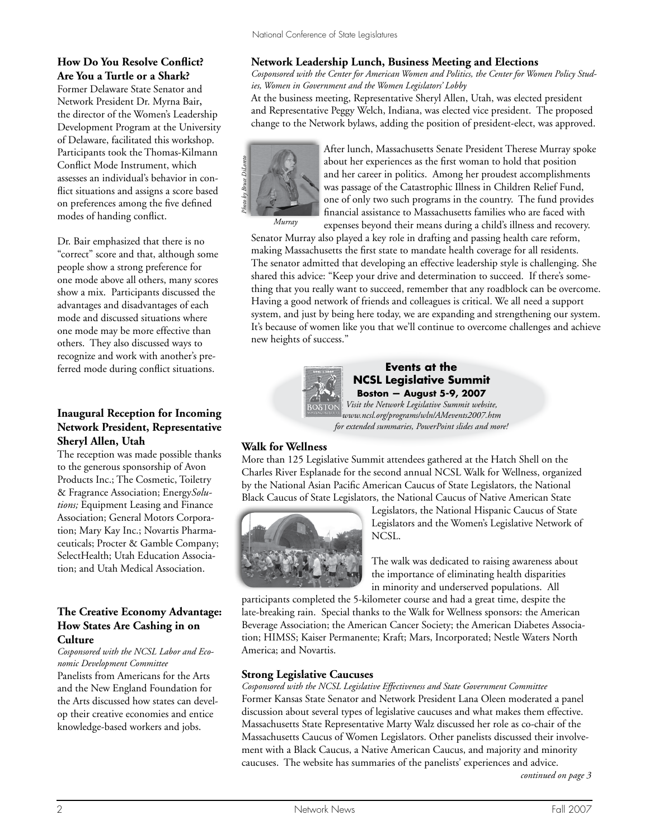#### **How Do You Resolve Conflict? Are You a Turtle or a Shark?**

Former Delaware State Senator and Network President Dr. Myrna Bair**,** the director of the Women's Leadership Development Program at the University of Delaware, facilitated this workshop. Participants took the Thomas-Kilmann Conflict Mode Instrument, which assesses an individual's behavior in conflict situations and assigns a score based on preferences among the five defined modes of handing conflict.

Dr. Bair emphasized that there is no "correct" score and that, although some people show a strong preference for one mode above all others, many scores show a mix. Participants discussed the advantages and disadvantages of each mode and discussed situations where one mode may be more effective than others. They also discussed ways to recognize and work with another's preferred mode during conflict situations.

#### **Inaugural Reception for Incoming Network President, Representative Sheryl Allen, Utah**

The reception was made possible thanks to the generous sponsorship of Avon Products Inc.; The Cosmetic, Toiletry & Fragrance Association; Energy*Solutions;* Equipment Leasing and Finance Association; General Motors Corporation; Mary Kay Inc.; Novartis Pharmaceuticals; Procter & Gamble Company; SelectHealth; Utah Education Association; and Utah Medical Association.

#### **The Creative Economy Advantage: How States Are Cashing in on Culture**

*Cosponsored with the NCSL Labor and Economic Development Committee* Panelists from Americans for the Arts and the New England Foundation for the Arts discussed how states can develop their creative economies and entice knowledge-based workers and jobs.

#### **Network Leadership Lunch, Business Meeting and Elections**

*Cosponsored with the Center for American Women and Politics, the Center for Women Policy Studies, Women in Government and the Women Legislators' Lobby*

At the business meeting, Representative Sheryl Allen, Utah, was elected president and Representative Peggy Welch, Indiana, was elected vice president. The proposed change to the Network bylaws, adding the position of president-elect, was approved.



After lunch, Massachusetts Senate President Therese Murray spoke about her experiences as the first woman to hold that position and her career in politics. Among her proudest accomplishments was passage of the Catastrophic Illness in Children Relief Fund, one of only two such programs in the country. The fund provides financial assistance to Massachusetts families who are faced with expenses beyond their means during a child's illness and recovery.

*Murray*

Senator Murray also played a key role in drafting and passing health care reform, making Massachusetts the first state to mandate health coverage for all residents. The senator admitted that developing an effective leadership style is challenging. She shared this advice: "Keep your drive and determination to succeed. If there's something that you really want to succeed, remember that any roadblock can be overcome. Having a good network of friends and colleagues is critical. We all need a support system, and just by being here today, we are expanding and strengthening our system. It's because of women like you that we'll continue to overcome challenges and achieve new heights of success."



**Events at the NCSL Legislative Summit Boston — August 5-9, 2007**

*Visit the Network Legislative Summit website, www.ncsl.org/programs/wln/AMevents2007.htm for extended summaries, PowerPoint slides and more!*

#### **Walk for Wellness**

More than 125 Legislative Summit attendees gathered at the Hatch Shell on the Charles River Esplanade for the second annual NCSL Walk for Wellness, organized by the National Asian Pacific American Caucus of State Legislators, the National Black Caucus of State Legislators, the National Caucus of Native American State



Legislators, the National Hispanic Caucus of State Legislators and the Women's Legislative Network of NCSL.

The walk was dedicated to raising awareness about the importance of eliminating health disparities in minority and underserved populations. All

participants completed the 5-kilometer course and had a great time, despite the late-breaking rain. Special thanks to the Walk for Wellness sponsors: the American Beverage Association; the American Cancer Society; the American Diabetes Association; HIMSS; Kaiser Permanente; Kraft; Mars, Incorporated; Nestle Waters North America; and Novartis.

#### **Strong Legislative Caucuses**

*Cosponsored with the NCSL Legislative Effectiveness and State Government Committee* Former Kansas State Senator and Network President Lana Oleen moderated a panel discussion about several types of legislative caucuses and what makes them effective. Massachusetts State Representative Marty Walz discussed her role as co-chair of the Massachusetts Caucus of Women Legislators. Other panelists discussed their involvement with a Black Caucus, a Native American Caucus, and majority and minority caucuses. The website has summaries of the panelists' experiences and advice.

*continued on page 3*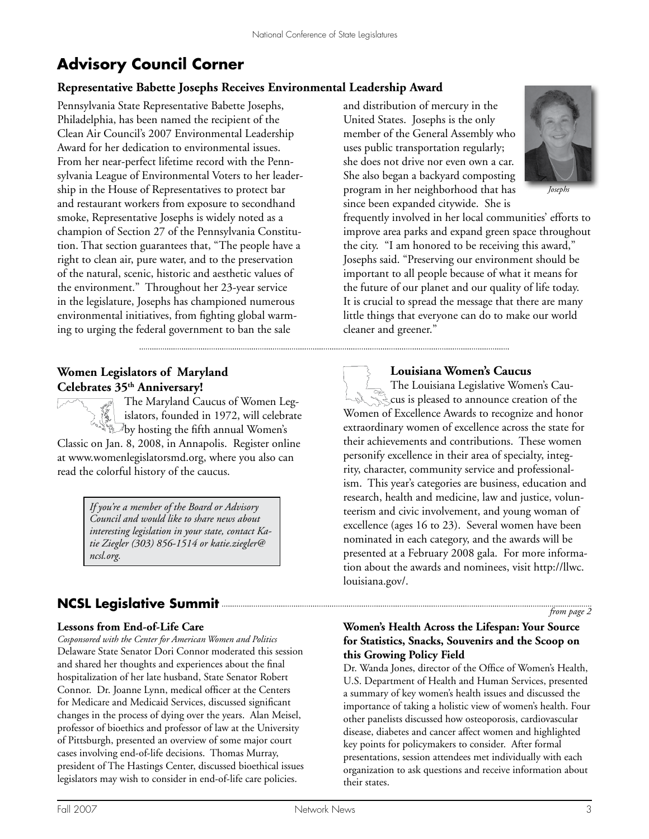# **Advisory Council Corner**

# **Representative Babette Josephs Receives Environmental Leadership Award**

Pennsylvania State Representative Babette Josephs, Philadelphia, has been named the recipient of the Clean Air Council's 2007 Environmental Leadership Award for her dedication to environmental issues. From her near-perfect lifetime record with the Pennsylvania League of Environmental Voters to her leadership in the House of Representatives to protect bar and restaurant workers from exposure to secondhand smoke, Representative Josephs is widely noted as a champion of Section 27 of the Pennsylvania Constitution. That section guarantees that, "The people have a right to clean air, pure water, and to the preservation of the natural, scenic, historic and aesthetic values of the environment." Throughout her 23-year service in the legislature, Josephs has championed numerous environmental initiatives, from fighting global warming to urging the federal government to ban the sale

#### **Women Legislators of Maryland Celebrates 35th Anniversary!**

The Maryland Caucus of Women Legislators, founded in 1972, will celebrate  $\frac{1}{2}$  by hosting the fifth annual Women's Classic on Jan. 8, 2008, in Annapolis. Register online

at www.womenlegislatorsmd.org, where you also can read the colorful history of the caucus.

> *If you're a member of the Board or Advisory Council and would like to share news about interesting legislation in your state, contact Katie Ziegler (303) 856-1514 or katie.ziegler@ ncsl.org.*

# **NCSL Legislative Summit** *from page 2*

#### **Lessons from End-of-Life Care**

*Cosponsored with the Center for American Women and Politics* Delaware State Senator Dori Connor moderated this session and shared her thoughts and experiences about the final hospitalization of her late husband, State Senator Robert Connor. Dr. Joanne Lynn, medical officer at the Centers for Medicare and Medicaid Services, discussed significant changes in the process of dying over the years. Alan Meisel, professor of bioethics and professor of law at the University of Pittsburgh, presented an overview of some major court cases involving end-of-life decisions. Thomas Murray, president of The Hastings Center, discussed bioethical issues legislators may wish to consider in end-of-life care policies.

and distribution of mercury in the United States. Josephs is the only member of the General Assembly who uses public transportation regularly; she does not drive nor even own a car. She also began a backyard composting program in her neighborhood that has since been expanded citywide. She is



*Josephs*

frequently involved in her local communities' efforts to improve area parks and expand green space throughout the city. "I am honored to be receiving this award," Josephs said. "Preserving our environment should be important to all people because of what it means for the future of our planet and our quality of life today. It is crucial to spread the message that there are many little things that everyone can do to make our world cleaner and greener."

**Louisiana Women's Caucus**

The Louisiana Legislative Women's Cau**cus is pleased to announce creation of the** Women of Excellence Awards to recognize and honor extraordinary women of excellence across the state for their achievements and contributions. These women personify excellence in their area of specialty, integrity, character, community service and professionalism. This year's categories are business, education and research, health and medicine, law and justice, volunteerism and civic involvement, and young woman of excellence (ages 16 to 23). Several women have been nominated in each category, and the awards will be presented at a February 2008 gala. For more information about the awards and nominees, visit http://llwc. louisiana.gov/.

#### **Women's Health Across the Lifespan: Your Source for Statistics, Snacks, Souvenirs and the Scoop on this Growing Policy Field**

Dr. Wanda Jones, director of the Office of Women's Health, U.S. Department of Health and Human Services, presented a summary of key women's health issues and discussed the importance of taking a holistic view of women's health. Four other panelists discussed how osteoporosis, cardiovascular disease, diabetes and cancer affect women and highlighted key points for policymakers to consider. After formal presentations, session attendees met individually with each organization to ask questions and receive information about their states.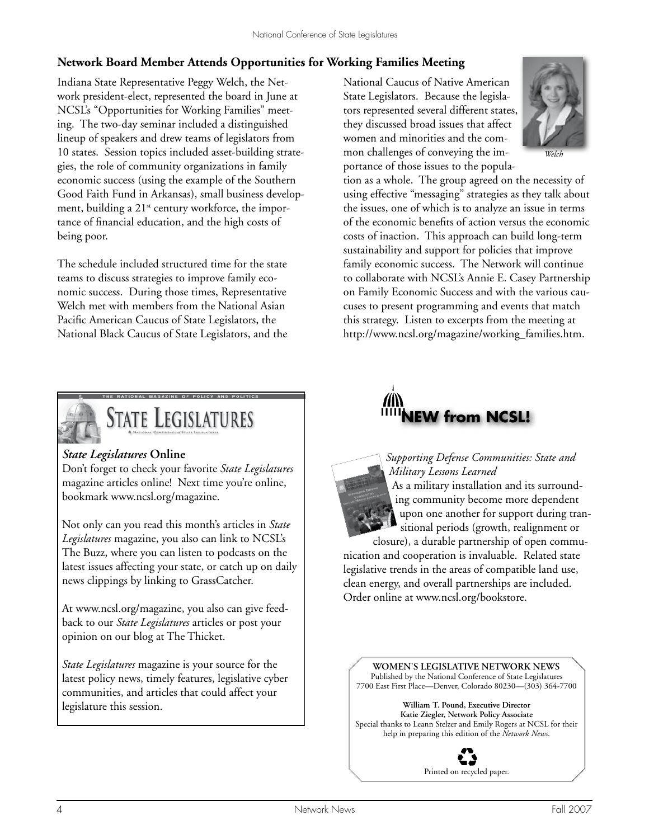### **Network Board Member Attends Opportunities for Working Families Meeting**

Indiana State Representative Peggy Welch, the Network president-elect, represented the board in June at NCSL's "Opportunities for Working Families" meeting. The two-day seminar included a distinguished lineup of speakers and drew teams of legislators from 10 states. Session topics included asset-building strategies, the role of community organizations in family economic success (using the example of the Southern Good Faith Fund in Arkansas), small business development, building a 21<sup>st</sup> century workforce, the importance of financial education, and the high costs of being poor.

The schedule included structured time for the state teams to discuss strategies to improve family economic success. During those times, Representative Welch met with members from the National Asian Pacific American Caucus of State Legislators, the National Black Caucus of State Legislators, and the



# **STATE LEGISLATURES**

#### *State Legislatures* **Online**

Don't forget to check your favorite *State Legislatures*  magazine articles online! Next time you're online, bookmark www.ncsl.org/magazine.

Not only can you read this month's articles in *State Legislatures* magazine, you also can link to NCSL's The Buzz, where you can listen to podcasts on the latest issues affecting your state, or catch up on daily news clippings by linking to GrassCatcher.

At www.ncsl.org/magazine, you also can give feedback to our *State Legislatures* articles or post your opinion on our blog at The Thicket.

*State Legislatures* magazine is your source for the latest policy news, timely features, legislative cyber communities, and articles that could affect your legislature this session.

National Caucus of Native American State Legislators. Because the legislators represented several different states, they discussed broad issues that affect women and minorities and the common challenges of conveying the importance of those issues to the popula-



tion as a whole. The group agreed on the necessity of using effective "messaging" strategies as they talk about the issues, one of which is to analyze an issue in terms of the economic benefits of action versus the economic costs of inaction. This approach can build long-term sustainability and support for policies that improve family economic success. The Network will continue to collaborate with NCSL's Annie E. Casey Partnership on Family Economic Success and with the various caucuses to present programming and events that match this strategy. Listen to excerpts from the meeting at http://www.ncsl.org/magazine/working\_families.htm.





closure), a durable partnership of open communication and cooperation is invaluable. Related state legislative trends in the areas of compatible land use, clean energy, and overall partnerships are included. Order online at www.ncsl.org/bookstore.

**Women's legislative Network News** Published by the National Conference of State Legislatures 7700 East First Place—Denver, Colorado 80230—(303) 364-7700

**William T. Pound, Executive Director Katie Ziegler, Network Policy Associate** Special thanks to Leann Stelzer and Emily Rogers at NCSL for their help in preparing this edition of the *Network News*.

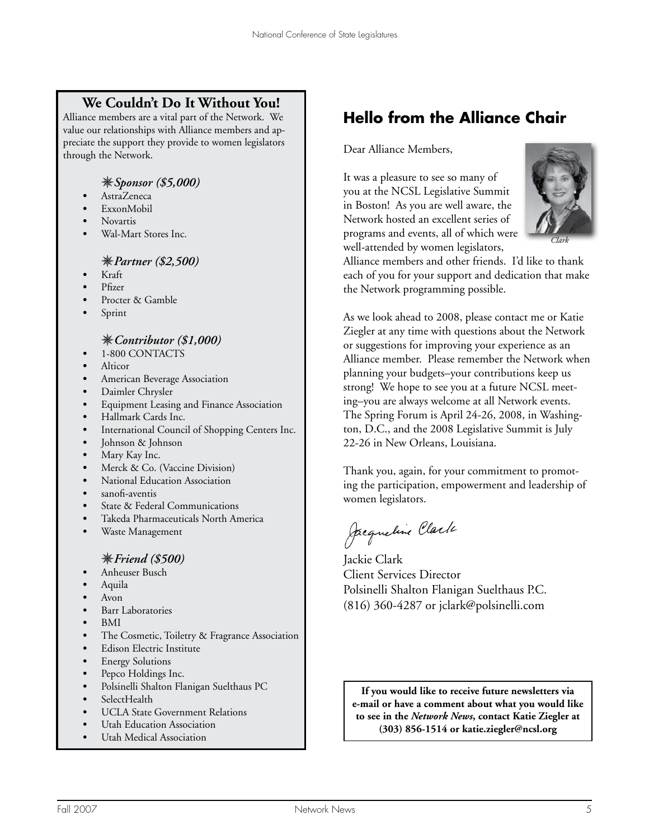# **We Couldn't Do It Without You!**

Alliance members are a vital part of the Network. We value our relationships with Alliance members and appreciate the support they provide to women legislators through the Network.

#### *Sponsor (\$5,000)*

- *•* AstraZeneca
- *•* ExxonMobil
- *•* Novartis
- *•* Wal-Mart Stores Inc.

#### *Partner (\$2,500)*

- *•* Kraft
- *•* Pfizer
- *•* Procter & Gamble
- *•* Sprint

#### *Contributor (\$1,000)*

- *•* 1-800 CONTACTS
- *•* Alticor
- *•* American Beverage Association
- *•* Daimler Chrysler
- Equipment Leasing and Finance Association
- *•* Hallmark Cards Inc.
- International Council of Shopping Centers Inc.
- *•* Johnson & Johnson
- Mary Kay Inc.
- Merck & Co. (Vaccine Division)
- *•* National Education Association
- *•* sanofi-aventis
- **State & Federal Communications**
- *•* Takeda Pharmaceuticals North America
- Waste Management

#### *Friend (\$500)*

- Anheuser Busch
- Aquila
- *•* Avon
- *•* Barr Laboratories
- *•* BMI
- The Cosmetic, Toiletry & Fragrance Association
- *•* Edison Electric Institute
- Energy Solutions
- *•* Pepco Holdings Inc.
- Polsinelli Shalton Flanigan Suelthaus PC
- SelectHealth
- UCLA State Government Relations
- Utah Education Association
- Utah Medical Association

# **Hello from the Alliance Chair**

#### Dear Alliance Members,

It was a pleasure to see so many of you at the NCSL Legislative Summit in Boston! As you are well aware, the Network hosted an excellent series of programs and events, all of which were well-attended by women legislators,



*Clark*

Alliance members and other friends. I'd like to thank each of you for your support and dedication that make the Network programming possible.

As we look ahead to 2008, please contact me or Katie Ziegler at any time with questions about the Network or suggestions for improving your experience as an Alliance member. Please remember the Network when planning your budgets–your contributions keep us strong! We hope to see you at a future NCSL meeting–you are always welcome at all Network events. The Spring Forum is April 24-26, 2008, in Washington, D.C., and the 2008 Legislative Summit is July 22-26 in New Orleans, Louisiana.

Thank you, again, for your commitment to promoting the participation, empowerment and leadership of women legislators.

Jacqueline Clark

Jackie Clark Client Services Director Polsinelli Shalton Flanigan Suelthaus P.C. (816) 360-4287 or jclark@polsinelli.com

**If you would like to receive future newsletters via e-mail or have a comment about what you would like to see in the** *Network News***, contact Katie Ziegler at (303) 856-1514 or katie.ziegler@ncsl.org**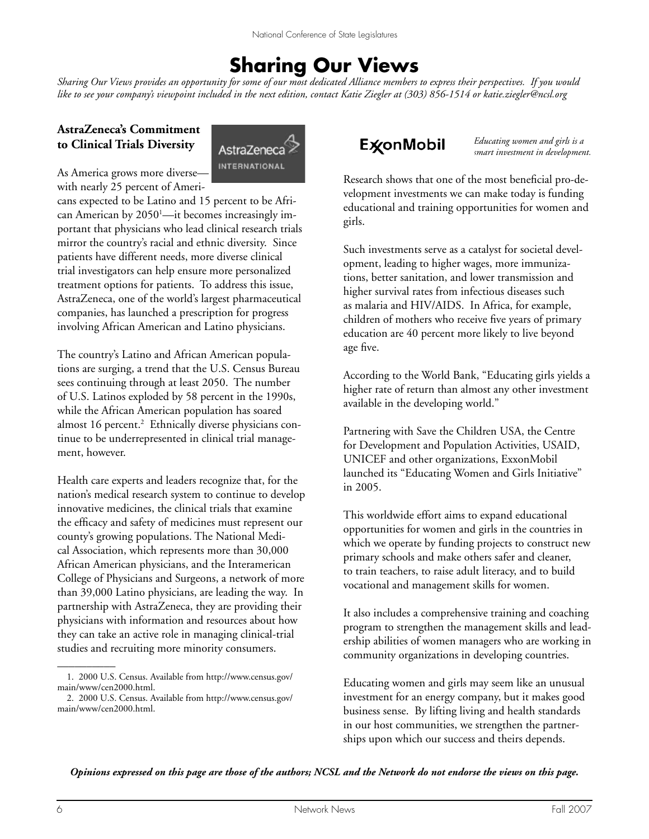# **Sharing Our Views**

*Sharing Our Views provides an opportunity for some of our most dedicated Alliance members to express their perspectives. If you would like to see your company's viewpoint included in the next edition, contact Katie Ziegler at (303) 856-1514 or katie.ziegler@ncsl.org* 

### **AstraZeneca's Commitment to Clinical Trials Diversity**



As America grows more diversewith nearly 25 percent of Ameri-

cans expected to be Latino and 15 percent to be African American by 2050<sup>1</sup>—it becomes increasingly important that physicians who lead clinical research trials mirror the country's racial and ethnic diversity. Since patients have different needs, more diverse clinical trial investigators can help ensure more personalized treatment options for patients. To address this issue, AstraZeneca, one of the world's largest pharmaceutical companies, has launched a prescription for progress involving African American and Latino physicians.

The country's Latino and African American populations are surging, a trend that the U.S. Census Bureau sees continuing through at least 2050. The number of U.S. Latinos exploded by 58 percent in the 1990s, while the African American population has soared almost 16 percent.<sup>2</sup> Ethnically diverse physicians continue to be underrepresented in clinical trial management, however.

Health care experts and leaders recognize that, for the nation's medical research system to continue to develop innovative medicines, the clinical trials that examine the efficacy and safety of medicines must represent our county's growing populations. The National Medical Association, which represents more than 30,000 African American physicians, and the Interamerican College of Physicians and Surgeons, a network of more than 39,000 Latino physicians, are leading the way. In partnership with AstraZeneca, they are providing their physicians with information and resources about how they can take an active role in managing clinical-trial studies and recruiting more minority consumers.

# **ExonMobil**

*Educating women and girls is a smart investment in development.*

Research shows that one of the most beneficial pro-development investments we can make today is funding educational and training opportunities for women and girls.

Such investments serve as a catalyst for societal development, leading to higher wages, more immunizations, better sanitation, and lower transmission and higher survival rates from infectious diseases such as malaria and HIV/AIDS. In Africa, for example, children of mothers who receive five years of primary education are 40 percent more likely to live beyond age five.

According to the World Bank, "Educating girls yields a higher rate of return than almost any other investment available in the developing world."

Partnering with Save the Children USA, the Centre for Development and Population Activities, USAID, UNICEF and other organizations, ExxonMobil launched its "Educating Women and Girls Initiative" in 2005.

This worldwide effort aims to expand educational opportunities for women and girls in the countries in which we operate by funding projects to construct new primary schools and make others safer and cleaner, to train teachers, to raise adult literacy, and to build vocational and management skills for women.

It also includes a comprehensive training and coaching program to strengthen the management skills and leadership abilities of women managers who are working in community organizations in developing countries.

Educating women and girls may seem like an unusual investment for an energy company, but it makes good business sense. By lifting living and health standards in our host communities, we strengthen the partnerships upon which our success and theirs depends.

*Opinions expressed on this page are those of the authors; NCSL and the Network do not endorse the views on this page.*

 $\overline{\phantom{a}}$ 

<sup>1. 2000</sup> U.S. Census. Available from http://www.census.gov/ main/www/cen2000.html.

<sup>2. 2000</sup> U.S. Census. Available from http://www.census.gov/ main/www/cen2000.html.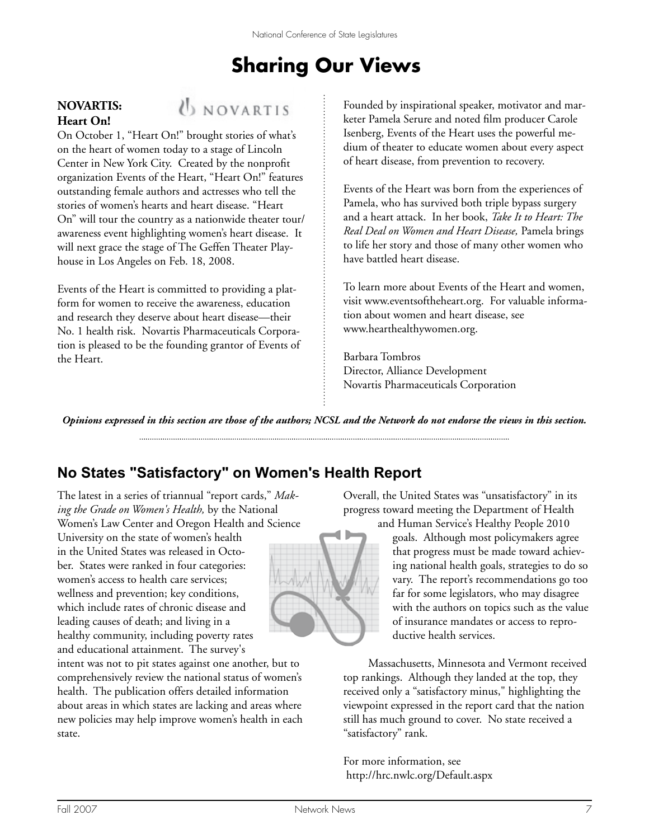# **Sharing Our Views**

#### **NOVARTIS: Heart On!**



On October 1, "Heart On!" brought stories of what's on the heart of women today to a stage of Lincoln Center in New York City. Created by the nonprofit organization Events of the Heart, "Heart On!" features outstanding female authors and actresses who tell the stories of women's hearts and heart disease. "Heart On" will tour the country as a nationwide theater tour/ awareness event highlighting women's heart disease. It will next grace the stage of The Geffen Theater Playhouse in Los Angeles on Feb. 18, 2008.

Events of the Heart is committed to providing a platform for women to receive the awareness, education and research they deserve about heart disease—their No. 1 health risk. Novartis Pharmaceuticals Corporation is pleased to be the founding grantor of Events of the Heart.

Founded by inspirational speaker, motivator and marketer Pamela Serure and noted film producer Carole Isenberg, Events of the Heart uses the powerful medium of theater to educate women about every aspect of heart disease, from prevention to recovery.

Events of the Heart was born from the experiences of Pamela, who has survived both triple bypass surgery and a heart attack. In her book, *Take It to Heart: The Real Deal on Women and Heart Disease,* Pamela brings to life her story and those of many other women who have battled heart disease.

To learn more about Events of the Heart and women, visit www.eventsoftheheart.org. For valuable information about women and heart disease, see www.hearthealthywomen.org.

Barbara Tombros Director, Alliance Development Novartis Pharmaceuticals Corporation

*Opinions expressed in this section are those of the authors; NCSL and the Network do not endorse the views in this section.* 

# **No States "Satisfactory" on Women's Health Report**

The latest in a series of triannual "report cards," *Making the Grade on Women's Health,* by the National Women's Law Center and Oregon Health and Science

University on the state of women's health in the United States was released in October. States were ranked in four categories: women's access to health care services; wellness and prevention; key conditions, which include rates of chronic disease and leading causes of death; and living in a healthy community, including poverty rates and educational attainment. The survey's

intent was not to pit states against one another, but to comprehensively review the national status of women's health. The publication offers detailed information about areas in which states are lacking and areas where new policies may help improve women's health in each state.

Overall, the United States was "unsatisfactory" in its progress toward meeting the Department of Health and Human Service's Healthy People 2010

goals. Although most policymakers agree that progress must be made toward achieving national health goals, strategies to do so vary. The report's recommendations go too far for some legislators, who may disagree with the authors on topics such as the value of insurance mandates or access to reproductive health services.

Massachusetts, Minnesota and Vermont received top rankings. Although they landed at the top, they received only a "satisfactory minus," highlighting the viewpoint expressed in the report card that the nation still has much ground to cover. No state received a "satisfactory" rank.

For more information, see http://hrc.nwlc.org/Default.aspx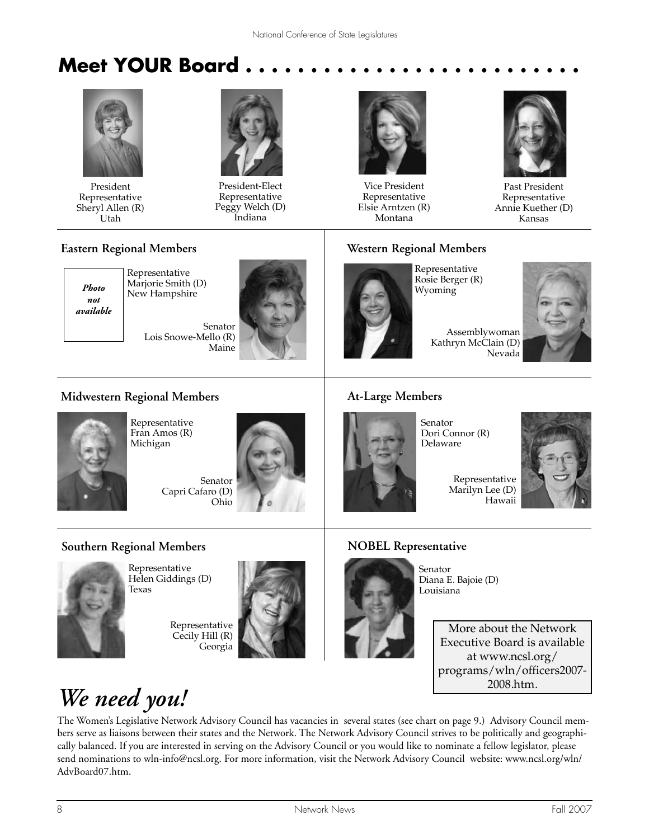# **Meet YOUR Board . . . . . . . . . . . . . . . . . . . . . . . . . .**



President Representative Sheryl Allen (R) Utah



President-Elect Representative Peggy Welch (D) Indiana



Vice President Representative Elsie Arntzen (R) Montana



Past President Representative Annie Kuether (D) Kansas

#### **Eastern Regional Members**



Representative Marjorie Smith (D) New Hampshire

> Senator Lois Snowe-Mello (R) Maine



### **Western Regional Members**



Representative Rosie Berger (R) Wyoming

Assemblywoman Kathryn McClain (D) Nevada

### **Midwestern Regional Members**



Representative Fran Amos (R) Michigan

> Senator Capri Cafaro (D) Ohio



### **At-Large Members**

Senator Dori Connor (R) Delaware



**Southern Regional Members**



Representative Helen Giddings (D) Texas

Representative Cecily Hill (R) Georgia



# **NOBEL Representative**



Senator Diana E. Bajoie (D) Louisiana

> More about the Network Executive Board is available at www.ncsl.org/ programs/wln/officers2007- 2008.htm.

# *We need you!*

The Women's Legislative Network Advisory Council has vacancies in several states (see chart on page 9.) Advisory Council members serve as liaisons between their states and the Network. The Network Advisory Council strives to be politically and geographically balanced. If you are interested in serving on the Advisory Council or you would like to nominate a fellow legislator, please send nominations to wln-info@ncsl.org. For more information, visit the Network Advisory Council website: www.ncsl.org/wln/ AdvBoard07.htm.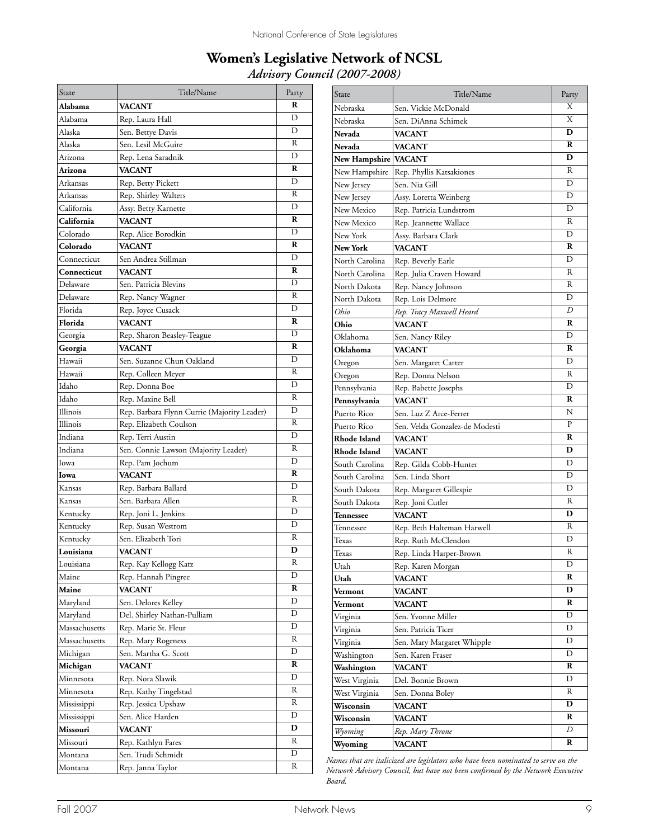## **Women's Legislative Network of NCSL** *Advisory Council (2007-2008)*

| State         | Title/Name                                  | Party |
|---------------|---------------------------------------------|-------|
| Alabama       | VACANT                                      | R     |
| Alabama       | Rep. Laura Hall                             | D     |
| Alaska        | Sen. Bettye Davis                           | D     |
| Alaska        | Sen. Lesil McGuire                          | R     |
| Arizona       | Rep. Lena Saradnik                          | D     |
| Arizona       | <b>VACANT</b>                               | R     |
| Arkansas      | Rep. Betty Pickett                          | D     |
| Arkansas      | Rep. Shirley Walters                        | R     |
| California    | Assy. Betty Karnette                        | D     |
| California    | <b>VACANT</b>                               | R     |
| Colorado      | Rep. Alice Borodkin                         | D     |
| Colorado      | <b>VACANT</b>                               | R     |
| Connecticut   | Sen Andrea Stillman                         | D     |
| Connecticut   | <b>VACANT</b>                               | R     |
| Delaware      | Sen. Patricia Blevins                       | D     |
| Delaware      | Rep. Nancy Wagner                           | R     |
| Florida       | Rep. Joyce Cusack                           | D     |
| Florida       | VACANT                                      | R     |
| Georgia       | Rep. Sharon Beasley-Teague                  | D     |
| Georgia       | <b>VACANT</b>                               | R     |
| Hawaii        | Sen. Suzanne Chun Oakland                   | D     |
|               |                                             | R     |
| Hawaii        | Rep. Colleen Meyer                          | D     |
| Idaho         | Rep. Donna Boe                              | R     |
| Idaho         | Rep. Maxine Bell                            | D     |
| Illinois      | Rep. Barbara Flynn Currie (Majority Leader) | R     |
| Illinois      | Rep. Elizabeth Coulson                      | D     |
| Indiana       | Rep. Terri Austin                           | R     |
| Indiana       | Sen. Connie Lawson (Majority Leader)        | D     |
| Iowa          | Rep. Pam Jochum                             |       |
| Iowa          | VACANT                                      | R     |
| Kansas        | Rep. Barbara Ballard                        | D     |
| Kansas        | Sen. Barbara Allen                          | R     |
| Kentucky      | Rep. Joni L. Jenkins                        | D     |
| Kentucky      | Rep. Susan Westrom                          | D     |
| Kentucky      | Sen. Elizabeth Tori                         | R     |
| Louisiana     | VACANT                                      | D     |
| Louisiana     | Rep. Kay Kellogg Katz                       | R     |
| Maine         | Rep. Hannah Pingree                         | D     |
| Maine         | VACANT                                      | R     |
| Maryland      | Sen. Delores Kelley                         | D     |
| Maryland      | Del. Shirley Nathan-Pulliam                 | D     |
| Massachusetts | Rep. Marie St. Fleur                        | D     |
| Massachusetts | Rep. Mary Rogeness                          | R     |
| Michigan      | Sen. Martha G. Scott                        | D     |
| Michigan      | VACANT                                      | R     |
| Minnesota     | Rep. Nora Slawik                            | D     |
| Minnesota     | Rep. Kathy Tingelstad                       | R     |
| Mississippi   | Rep. Jessica Upshaw                         | R     |
| Mississippi   | Sen. Alice Harden                           | D     |
| Missouri      | VACANT                                      | D     |
| Missouri      | Rep. Kathlyn Fares                          | R     |
| Montana       | Sen. Trudi Schmidt                          | D     |
| Montana       | Rep. Janna Taylor                           | R     |

| State               | Title/Name                     | Party |
|---------------------|--------------------------------|-------|
| Nebraska            | Sen. Vickie McDonald           | Χ     |
| Nebraska            | Sen. DiAnna Schimek            | X     |
| Nevada              | <b>VACANT</b>                  | D     |
| Nevada              | <b>VACANT</b>                  | R     |
| New Hampshire       | <b>VACANT</b>                  | D     |
| New Hampshire       | Rep. Phyllis Katsakiones       | R     |
| New Jersey          | Sen. Nia Gill                  | D     |
| New Jersey          | Assy. Loretta Weinberg         | D     |
| New Mexico          | Rep. Patricia Lundstrom        | D     |
| New Mexico          | Rep. Jeannette Wallace         | R     |
| New York            | Assy. Barbara Clark            | D     |
| <b>New York</b>     | <b>VACANT</b>                  | R     |
| North Carolina      | Rep. Beverly Earle             | D     |
| North Carolina      | Rep. Julia Craven Howard       | R     |
| North Dakota        | Rep. Nancy Johnson             | R     |
| North Dakota        | Rep. Lois Delmore              | D     |
| Ohio                | Rep. Tracy Maxwell Heard       | D     |
| Ohio                | <b>VACANT</b>                  | R     |
| Oklahoma            | Sen. Nancy Riley               | D     |
| Oklahoma            | <b>VACANT</b>                  | R     |
| Oregon              | Sen. Margaret Carter           | D     |
| Oregon              | Rep. Donna Nelson              | R     |
| Pennsylvania        | Rep. Babette Josephs           | D     |
| Pennsylvania        | <b>VACANT</b>                  | R     |
| Puerto Rico         | Sen. Luz Z Arce-Ferrer         | N     |
| Puerto Rico         | Sen. Velda Gonzalez-de Modesti | P     |
| <b>Rhode Island</b> | <b>VACANT</b>                  | R     |
| <b>Rhode Island</b> | <b>VACANT</b>                  | D     |
| South Carolina      | Rep. Gilda Cobb-Hunter         | D     |
| South Carolina      | Sen. Linda Short               | D     |
| South Dakota        | Rep. Margaret Gillespie        | D     |
| South Dakota        | Rep. Joni Cutler               | R     |
| Tennessee           | <b>VACANT</b>                  | D     |
| Tennessee           | Rep. Beth Halteman Harwell     | R     |
| Texas               | Rep. Ruth McClendon            | D     |
| Texas               | Rep. Linda Harper-Brown        | R     |
| Utah                | Rep. Karen Morgan              | D     |
| Utah                | <b>VACANT</b>                  | R     |
| Vermont             | VACANT                         | D     |
| Vermont             | <b>VACANT</b>                  | R     |
| Virginia            | Sen. Yvonne Miller             | D     |
| Virginia            | Sen. Patricia Ticer            | D     |
| Virginia            | Sen. Mary Margaret Whipple     | D     |
| Washington          | Sen. Karen Fraser              | D     |
| Washington          | <b>VACANT</b>                  | R     |
| West Virginia       | Del. Bonnie Brown              | D     |
| West Virginia       | Sen. Donna Boley               | R     |
| Wisconsin           | VACANT                         | D     |
| Wisconsin           | VACANT                         | R     |
| Wyoming             | Rep. Mary Throne               | D     |
| Wyoming             | <b>VACANT</b>                  | R     |

*Names that are italicized are legislators who have been nominated to serve on the Network Advisory Council, but have not been confirmed by the Network Executive Board.*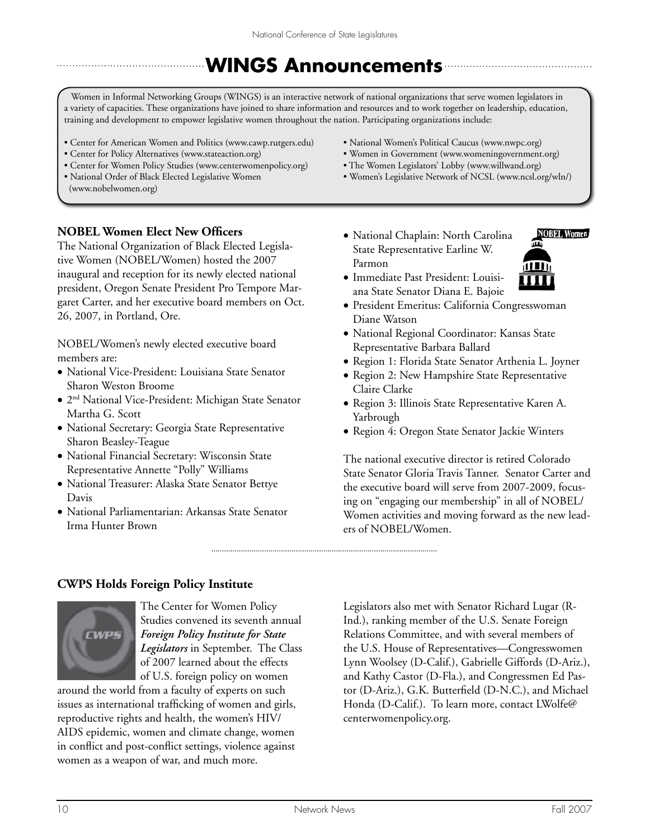# **WINGS Announcements**

Women in Informal Networking Groups (WINGS) is an interactive network of national organizations that serve women legislators in a variety of capacities. These organizations have joined to share information and resources and to work together on leadership, education, training and development to empower legislative women throughout the nation. Participating organizations include:

- Center for American Women and Politics (www.cawp.rutgers.edu)
- Center for Policy Alternatives (www.stateaction.org)

The National Organization of Black Elected Legislative Women (NOBEL/Women) hosted the 2007 inaugural and reception for its newly elected national president, Oregon Senate President Pro Tempore Margaret Carter, and her executive board members on Oct.

NOBEL/Women's newly elected executive board

• National Vice-President: Louisiana State Senator

• National Secretary: Georgia State Representative

• National Parliamentarian: Arkansas State Senator

• National Financial Secretary: Wisconsin State Representative Annette "Polly" Williams • National Treasurer: Alaska State Senator Bettye

• 2<sup>nd</sup> National Vice-President: Michigan State Senator

- Center for Women Policy Studies (www.centerwomenpolicy.org)
- National Order of Black Elected Legislative Women (www.nobelwomen.org)

**NOBEL Women Elect New Officers**

26, 2007, in Portland, Ore.

Sharon Weston Broome

Sharon Beasley-Teague

Irma Hunter Brown

Martha G. Scott

members are:

Davis

- National Women's Political Caucus (www.nwpc.org)
- Women in Government (www.womeningovernment.org)
- The Women Legislators' Lobby (www.willwand.org)
- Women's Legislative Network of NCSL (www.ncsl.org/wln/)
- National Chaplain: North Carolina State Representative Earline W. Parmon



- • Immediate Past President: Louisiana State Senator Diana E. Bajoie
- • President Emeritus: California Congresswoman Diane Watson
- • National Regional Coordinator: Kansas State Representative Barbara Ballard
- • Region 1: Florida State Senator Arthenia L. Joyner
- • Region 2: New Hampshire State Representative Claire Clarke
- • Region 3: Illinois State Representative Karen A. Yarbrough
- • Region 4: Oregon State Senator Jackie Winters

The national executive director is retired Colorado State Senator Gloria Travis Tanner. Senator Carter and the executive board will serve from 2007-2009, focusing on "engaging our membership" in all of NOBEL/ Women activities and moving forward as the new leaders of NOBEL/Women.

#### **CWPS Holds Foreign Policy Institute**



The Center for Women Policy Studies convened its seventh annual *Foreign Policy Institute for State Legislators* in September. The Class of 2007 learned about the effects of U.S. foreign policy on women

around the world from a faculty of experts on such issues as international trafficking of women and girls, reproductive rights and health, the women's HIV/ AIDS epidemic, women and climate change, women in conflict and post-conflict settings, violence against women as a weapon of war, and much more.

Legislators also met with Senator Richard Lugar (R-Ind.), ranking member of the U.S. Senate Foreign Relations Committee, and with several members of the U.S. House of Representatives—Congresswomen Lynn Woolsey (D-Calif.), Gabrielle Giffords (D-Ariz.), and Kathy Castor (D-Fla.), and Congressmen Ed Pastor (D-Ariz.), G.K. Butterfield (D-N.C.), and Michael Honda (D-Calif.). To learn more, contact LWolfe@ centerwomenpolicy.org.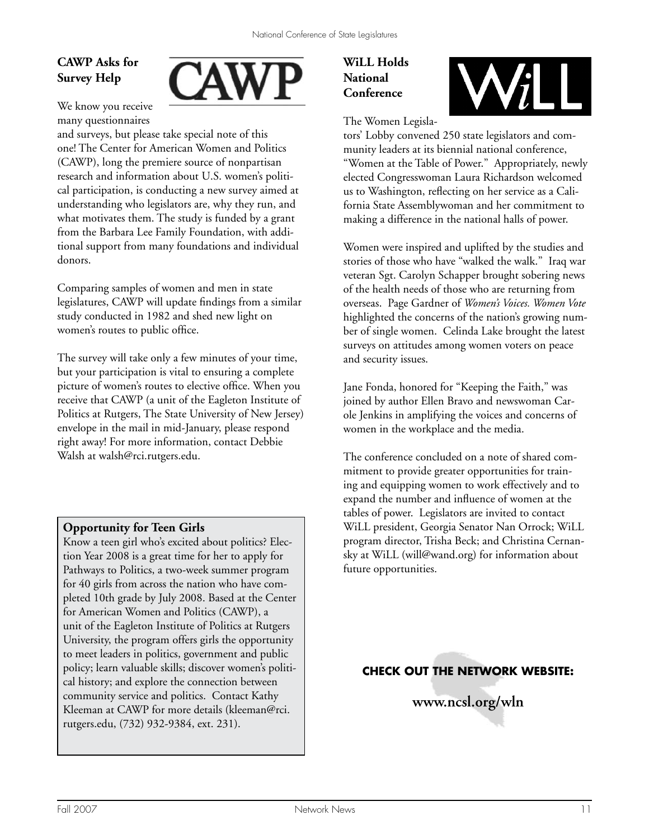# **CAWP Asks for Survey Help**



We know you receive many questionnaires

and surveys, but please take special note of this one! The Center for American Women and Politics (CAWP), long the premiere source of nonpartisan research and information about U.S. women's political participation, is conducting a new survey aimed at understanding who legislators are, why they run, and what motivates them. The study is funded by a grant from the Barbara Lee Family Foundation, with additional support from many foundations and individual donors.

Comparing samples of women and men in state legislatures, CAWP will update findings from a similar study conducted in 1982 and shed new light on women's routes to public office.

The survey will take only a few minutes of your time, but your participation is vital to ensuring a complete picture of women's routes to elective office. When you receive that CAWP (a unit of the Eagleton Institute of Politics at Rutgers, The State University of New Jersey) envelope in the mail in mid-January, please respond right away! For more information, contact Debbie Walsh at walsh@rci.rutgers.edu.

### **Opportunity for Teen Girls**

Know a teen girl who's excited about politics? Election Year 2008 is a great time for her to apply for Pathways to Politics, a two-week summer program for 40 girls from across the nation who have completed 10th grade by July 2008. Based at the Center for American Women and Politics (CAWP), a unit of the Eagleton Institute of Politics at Rutgers University, the program offers girls the opportunity to meet leaders in politics, government and public policy; learn valuable skills; discover women's political history; and explore the connection between community service and politics. Contact Kathy Kleeman at CAWP for more details (kleeman@rci. rutgers.edu, (732) 932-9384, ext. 231).

# **WiLL Holds National Conference**



The Women Legisla-

tors' Lobby convened 250 state legislators and community leaders at its biennial national conference, "Women at the Table of Power." Appropriately, newly elected Congresswoman Laura Richardson welcomed us to Washington, reflecting on her service as a California State Assemblywoman and her commitment to making a difference in the national halls of power.

Women were inspired and uplifted by the studies and stories of those who have "walked the walk." Iraq war veteran Sgt. Carolyn Schapper brought sobering news of the health needs of those who are returning from overseas. Page Gardner of *Women's Voices. Women Vote* highlighted the concerns of the nation's growing number of single women. Celinda Lake brought the latest surveys on attitudes among women voters on peace and security issues.

Jane Fonda, honored for "Keeping the Faith," was joined by author Ellen Bravo and newswoman Carole Jenkins in amplifying the voices and concerns of women in the workplace and the media.

The conference concluded on a note of shared commitment to provide greater opportunities for training and equipping women to work effectively and to expand the number and influence of women at the tables of power. Legislators are invited to contact WiLL president, Georgia Senator Nan Orrock; WiLL program director, Trisha Beck; and Christina Cernansky at WiLL (will@wand.org) for information about future opportunities.

**CHECK OUT THE NETWORK WEBSITE:**

**www.ncsl.org/wln**